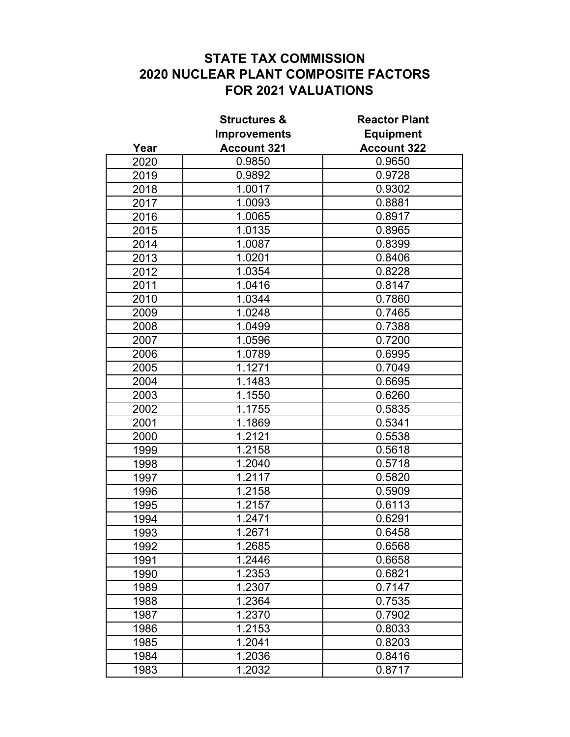## **STATE TAX COMMISSION 2020 NUCLEAR PLANT COMPOSITE FACTORS FOR 2021 VALUATIONS**

|      | <b>Structures &amp;</b><br><b>Improvements</b> | <b>Reactor Plant</b><br><b>Equipment</b> |
|------|------------------------------------------------|------------------------------------------|
|      |                                                |                                          |
| Year | <b>Account 321</b>                             | <b>Account 322</b>                       |
| 2020 | 0.9850                                         | 0.9650                                   |
| 2019 | 0.9892                                         | 0.9728                                   |
| 2018 | 1.0017                                         | 0.9302                                   |
| 2017 | 1.0093                                         | 0.8881                                   |
| 2016 | 1.0065                                         | 0.8917                                   |
| 2015 | 1.0135                                         | 0.8965                                   |
| 2014 | 1.0087                                         | 0.8399                                   |
| 2013 | 1.0201                                         | 0.8406                                   |
| 2012 | 1.0354                                         | 0.8228                                   |
| 2011 | 1.0416                                         | 0.8147                                   |
| 2010 | 1.0344                                         | 0.7860                                   |
| 2009 | 1.0248                                         | 0.7465                                   |
| 2008 | 1.0499                                         | 0.7388                                   |
| 2007 | 1.0596                                         | 0.7200                                   |
| 2006 | 1.0789                                         | 0.6995                                   |
| 2005 | 1.1271                                         | 0.7049                                   |
| 2004 | 1.1483                                         | 0.6695                                   |
| 2003 | 1.1550                                         | 0.6260                                   |
| 2002 | 1.1755                                         | 0.5835                                   |
| 2001 | 1.1869                                         | 0.5341                                   |
| 2000 | 1.2121                                         | 0.5538                                   |
| 1999 | 1.2158                                         | 0.5618                                   |
| 1998 | 1.2040                                         | 0.5718                                   |
| 1997 | 1.2117                                         | 0.5820                                   |
| 1996 | 1.2158                                         | 0.5909                                   |
| 1995 | 1.2157                                         | 0.6113                                   |
| 1994 | 1.2471                                         | 0.6291                                   |
| 1993 | 1.2671                                         | 0.6458                                   |
| 1992 | 1.2685                                         | 0.6568                                   |
| 1991 | 1.2446                                         | 0.6658                                   |
| 1990 | 1.2353                                         | 0.6821                                   |
| 1989 | 1.2307                                         | 0.7147                                   |
| 1988 | 1.2364                                         | 0.7535                                   |
| 1987 | 1.2370                                         | 0.7902                                   |
| 1986 | 1.2153                                         | 0.8033                                   |
| 1985 | 1.2041                                         | 0.8203                                   |
| 1984 | 1.2036                                         | 0.8416                                   |
| 1983 | 1.2032                                         | 0.8717                                   |